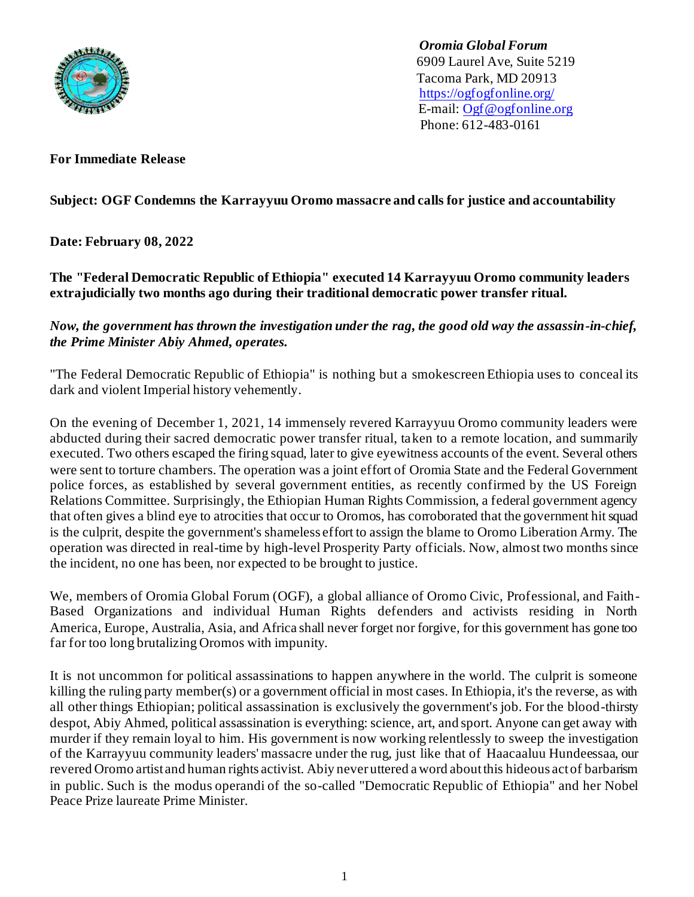

 *Oromia Global Forum* 6909 Laurel Ave, Suite 5219 Tacoma Park, MD 20913 <https://ogfogfonline.org/> E-mail: [Ogf@ogfonline.org](mailto:Ogf@ogfonline.org) Phone: 612-483-0161

**For Immediate Release**

## **Subject: OGF Condemns the Karrayyuu Oromo massacre and calls for justice and accountability**

**Date: February 08, 2022**

**The "Federal Democratic Republic of Ethiopia" executed 14 Karrayyuu Oromo community leaders extrajudicially two months ago during their traditional democratic power transfer ritual.**

## *Now, the government has thrown the investigation under the rag, the good old way the assassin-in-chief, the Prime Minister Abiy Ahmed, operates.*

"The Federal Democratic Republic of Ethiopia" is nothing but a smokescreen Ethiopia uses to conceal its dark and violent Imperial history vehemently.

On the evening of December 1, 2021, 14 immensely revered Karrayyuu Oromo community leaders were abducted during their sacred democratic power transfer ritual, taken to a remote location, and summarily executed. Two others escaped the firing squad, later to give eyewitness accounts of the event. Several others were sent to torture chambers. The operation was a joint effort of Oromia State and the Federal Government police forces, as established by several government entities, as recently confirmed by the US Foreign Relations Committee. Surprisingly, the Ethiopian Human Rights Commission, a federal government agency that often gives a blind eye to atrocities that occur to Oromos, has corroborated that the government hit squad is the culprit, despite the government's shameless effort to assign the blame to Oromo Liberation Army. The operation was directed in real-time by high-level Prosperity Party officials. Now, almost two months since the incident, no one has been, nor expected to be brought to justice.

We, members of Oromia Global Forum [\(OGF\)](https://ogfonline.org/about/), a global alliance of Oromo Civic, Professional, and Faith-Based Organizations and individual Human Rights defenders and activists residing in North America, Europe, Australia, Asia, and Africa shall never forget nor forgive, for this government has gone too far for too long brutalizing Oromos with impunity.

It is not uncommon for political assassinations to happen anywhere in the world. The culprit is someone killing the ruling party member(s) or a government official in most cases. In Ethiopia, it's the reverse, as with all other things Ethiopian; political assassination is exclusively the government's job. For the blood-thirsty despot, Abiy Ahmed, political assassination is everything: science, art, and sport. Anyone can get away with murder if they remain loyal to him. His government is now working relentlessly to sweep the investigation of the Karrayyuu community leaders' massacre under the rug, just like that of Haacaaluu Hundeessaa, our revered Oromo artist and human rights activist. Abiy never uttered a word about this hideous act of barbarism in public. Such is the modus operandi of the so-called "Democratic Republic of Ethiopia" and her Nobel Peace Prize laureate Prime Minister.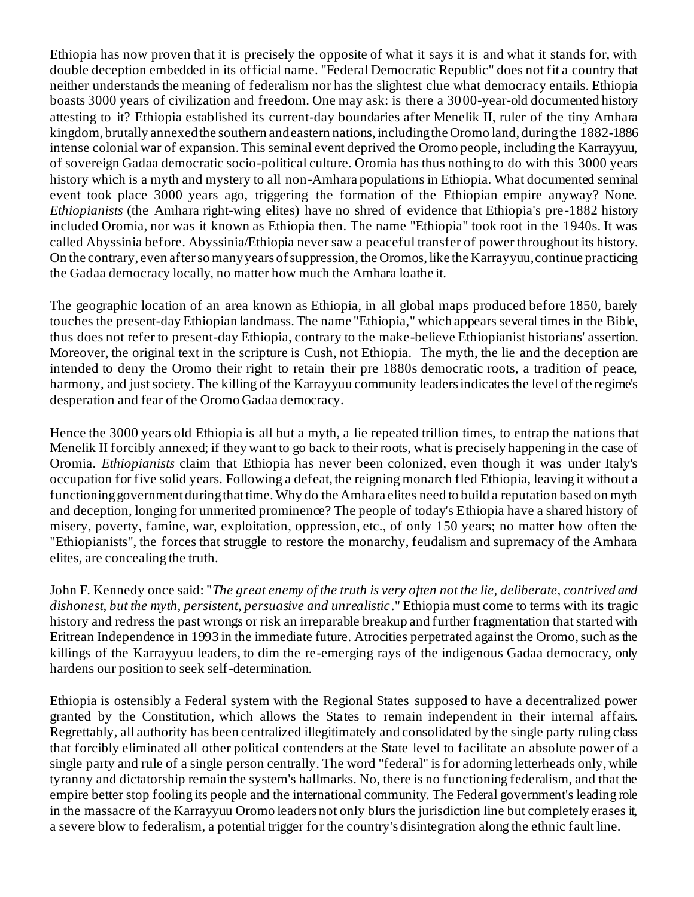Ethiopia has now proven that it is precisely the opposite of what it says it is and what it stands for, with double deception embedded in its official name. "Federal Democratic Republic" does not fit a country that neither understands the meaning of federalism nor has the slightest clue what democracy entails. Ethiopia boasts 3000 years of civilization and freedom. One may ask: is there a 3000-year-old documented history attesting to it? Ethiopia established its current-day boundaries after Menelik II, ruler of the tiny Amhara kingdom, brutally annexed the southern and eastern nations, including the Oromo land, during the 1882-1886 intense colonial war of expansion. This seminal event deprived the Oromo people, including the Karrayyuu, of sovereign Gadaa democratic socio-political culture. Oromia has thus nothing to do with this 3000 years history which is a myth and mystery to all non-Amhara populations in Ethiopia. What documented seminal event took place 3000 years ago, triggering the formation of the Ethiopian empire anyway? None. *Ethiopianists* (the Amhara right-wing elites) have no shred of evidence that Ethiopia's pre-1882 history included Oromia, nor was it known as Ethiopia then. The name "Ethiopia" took root in the 1940s. It was called Abyssinia before. Abyssinia/Ethiopia never saw a peaceful transfer of power throughout its history. On the contrary, even after so many years of suppression, the Oromos, like the Karrayyuu, continue practicing the Gadaa democracy locally, no matter how much the Amhara loathe it.

The geographic location of an area known as Ethiopia, in all global maps produced before 1850, barely touches the present-day Ethiopian landmass. The name "Ethiopia," which appears several times in the Bible, thus does not refer to present-day Ethiopia, contrary to the make-believe Ethiopianist historians' assertion. Moreover, the original text in the scripture is Cush, not Ethiopia. The myth, the lie and the deception are intended to deny the Oromo their right to retain their pre 1880s democratic roots, a tradition of peace, harmony, and just society. The killing of the Karrayyuu community leaders indicates the level of the regime's desperation and fear of the Oromo Gadaa democracy.

Hence the 3000 years old Ethiopia is all but a myth, a lie repeated trillion times, to entrap the nations that Menelik II forcibly annexed; if they want to go back to their roots, what is precisely happening in the case of Oromia. *Ethiopianists* claim that Ethiopia has never been colonized, even though it was under Italy's occupation for five solid years. Following a defeat, the reigning monarch fled Ethiopia, leaving it without a functioning government during that time. Why do the Amhara elites need to build a reputation based on myth and deception, longing for unmerited prominence? The people of today's Ethiopia have a shared history of misery, poverty, famine, war, exploitation, oppression, etc., of only 150 years; no matter how often the "Ethiopianists", the forces that struggle to restore the monarchy, feudalism and supremacy of the Amhara elites, are concealing the truth.

John F. Kennedy once said: "*The great enemy of the truth is very often not the lie, deliberate, contrived and dishonest, but the myth, persistent, persuasive and unrealistic*." Ethiopia must come to terms with its tragic history and redress the past wrongs or risk an irreparable breakup and further fragmentation that started with Eritrean Independence in 1993 in the immediate future. Atrocities perpetrated against the Oromo, such as the killings of the Karrayyuu leaders, to dim the re-emerging rays of the indigenous Gadaa democracy, only hardens our position to seek self-determination.

Ethiopia is ostensibly a Federal system with the Regional States supposed to have a decentralized power granted by the Constitution, which allows the States to remain independent in their internal affairs. Regrettably, all authority has been centralized illegitimately and consolidated by the single party ruling class that forcibly eliminated all other political contenders at the State level to facilitate an absolute power of a single party and rule of a single person centrally. The word "federal" is for adorning letterheads only, while tyranny and dictatorship remain the system's hallmarks. No, there is no functioning federalism, and that the empire better stop fooling its people and the international community. The Federal government's leading role in the massacre of the Karrayyuu Oromo leaders not only blurs the jurisdiction line but completely erases it, a severe blow to federalism, a potential trigger for the country's disintegration along the ethnic fault line.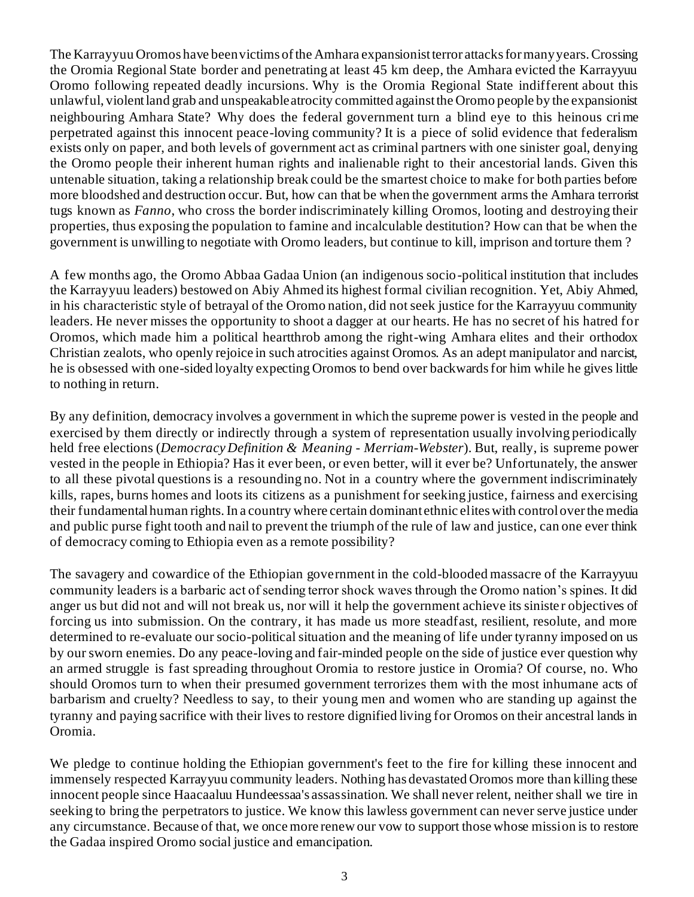The Karrayyuu Oromos have been victims of the Amhara expansionist terror attacks for many years. Crossing the Oromia Regional State border and penetrating at least 45 km deep, the Amhara evicted the Karrayyuu Oromo following repeated deadly incursions. Why is the Oromia Regional State indifferent about this unlawful, violent land grab and unspeakable atrocity committed against the Oromo people by the expansionist neighbouring Amhara State? Why does the federal government turn a blind eye to this heinous crime perpetrated against this innocent peace-loving community? It is a piece of solid evidence that federalism exists only on paper, and both levels of government act as criminal partners with one sinister goal, denying the Oromo people their inherent human rights and inalienable right to their ancestorial lands. Given this untenable situation, taking a relationship break could be the smartest choice to make for both parties before more bloodshed and destruction occur. But, how can that be when the government arms the Amhara terrorist tugs known as *Fanno*, who cross the border indiscriminately killing Oromos, looting and destroying their properties, thus exposing the population to famine and incalculable destitution? How can that be when the government is unwilling to negotiate with Oromo leaders, but continue to kill, imprison and torture them ?

A few months ago, the Oromo Abbaa Gadaa Union (an indigenous socio-political institution that includes the Karrayyuu leaders) bestowed on Abiy Ahmed its highest formal civilian recognition. Yet, Abiy Ahmed, in his characteristic style of betrayal of the Oromo nation, did not seek justice for the Karrayyuu community leaders. He never misses the opportunity to shoot a dagger at our hearts. He has no secret of his hatred for Oromos, which made him a political heartthrob among the right-wing Amhara elites and their orthodox Christian zealots, who openly rejoice in such atrocities against Oromos. As an adept manipulator and narcist, he is obsessed with one-sided loyalty expecting Oromos to bend over backwards for him while he gives little to nothing in return.

By any definition, democracy involves a government in which the supreme power is [vested](https://www.merriam-webster.com/dictionary/vest#h2) in the people and exercised by them directly or indirectly through a system of representation usually involving periodically held free [elections](https://www.merriam-webster.com/dictionary/election) (*[Democracy Definition & Meaning -](https://www.merriam-webster.com/dictionary/democracy) Merriam-Webster*). But, really, is supreme power vested in the people in Ethiopia? Has it ever been, or even better, will it ever be? Unfortunately, the answer to all these pivotal questions is a resounding no. Not in a country where the government indiscriminately kills, rapes, burns homes and loots its citizens as a punishment for seeking justice, fairness and exercising their fundamental human rights. In a country where certain dominant ethnic elites with control over the media and public purse fight tooth and nail to prevent the triumph of the rule of law and justice, can one ever think of democracy coming to Ethiopia even as a remote possibility?

The savagery and cowardice of the Ethiopian government in the cold-blooded massacre of the Karrayyuu community leaders is a barbaric act of sending terror shock waves through the Oromo nation's spines. It did anger us but did not and will not break us, nor will it help the government achieve its siniste r objectives of forcing us into submission. On the contrary, it has made us more steadfast, resilient, resolute, and more determined to re-evaluate our socio-political situation and the meaning of life under tyranny imposed on us by our sworn enemies. Do any peace-loving and fair-minded people on the side of justice ever question why an armed struggle is fast spreading throughout Oromia to restore justice in Oromia? Of course, no. Who should Oromos turn to when their presumed government terrorizes them with the most inhumane acts of barbarism and cruelty? Needless to say, to their young men and women who are standing up against the tyranny and paying sacrifice with their lives to restore dignified living for Oromos on their ancestral lands in Oromia.

We pledge to continue holding the Ethiopian government's feet to the fire for killing these innocent and immensely respected Karrayyuu community leaders. Nothing has devastated Oromos more than killing these innocent people since Haacaaluu Hundeessaa's assassination. We shall never relent, neither shall we tire in seeking to bring the perpetrators to justice. We know this lawless government can never serve justice under any circumstance. Because of that, we once more renew our vow to support those whose mission is to restore the Gadaa inspired Oromo social justice and emancipation.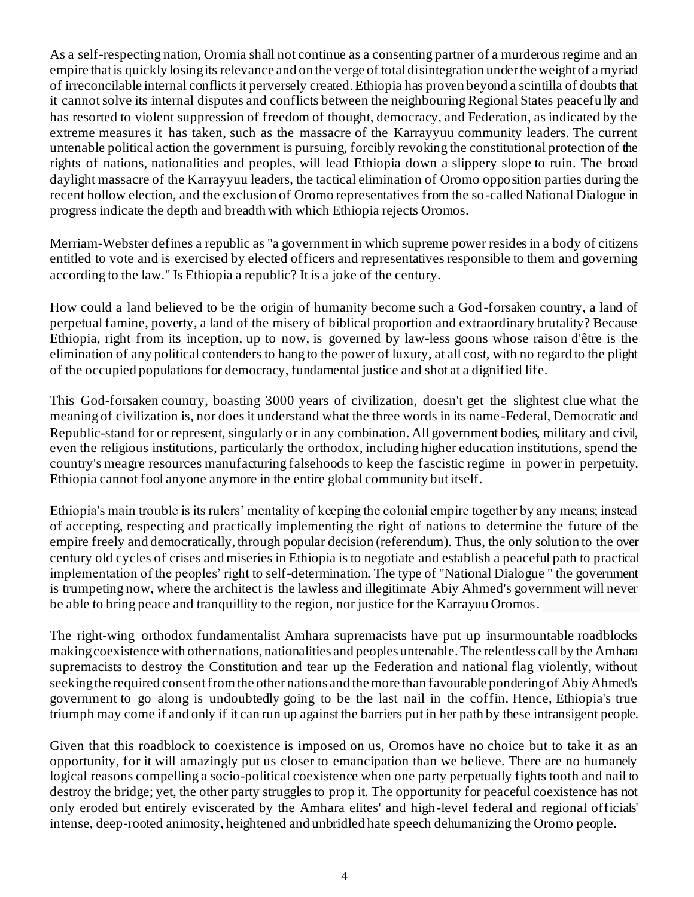As a self-respecting nation, Oromia shall not continue as a consenting partner of a murderous regime and an empire that is quickly losing its relevance and on the verge of total disintegration under the weight of a myriad of irreconcilable internal conflicts it perversely created. Ethiopia has proven beyond a scintilla of doubts that it cannot solve its internal disputes and conflicts between the neighbouring Regional States peacefu lly and has resorted to violent suppression of freedom of thought, democracy, and Federation, as indicated by the extreme measures it has taken, such as the massacre of the Karrayyuu community leaders. The current untenable political action the government is pursuing, forcibly revoking the constitutional protection of the rights of nations, nationalities and peoples, will lead Ethiopia down a slippery slope to ruin. The broad daylight massacre of the Karrayyuu leaders, the tactical elimination of Oromo opposition parties during the recent hollow election, and the exclusion of Oromo representatives from the so-called National Dialogue in progress indicate the depth and breadth with which Ethiopia rejects Oromos.

Merriam-Webster defines a republic as "a government in which supreme power resides in a body of citizens entitled to vote and is exercised by elected officers and representatives responsible to them and governing according to the law." Is Ethiopia a republic? It is a joke of the century.

How could a land believed to be the origin of humanity become such a God-forsaken country, a land of perpetual famine, poverty, a land of the misery of biblical proportion and extraordinary brutality? Because Ethiopia, right from its inception, up to now, is governed by law-less goons whose raison d'être is the elimination of any political contenders to hang to the power of luxury, at all cost, with no regard to the plight of the occupied populations for democracy, fundamental justice and shot at a dignified life.

This God-forsaken country, boasting 3000 years of civilization, doesn't get the slightest clue what the meaning of civilization is, nor does it understand what the three words in its name-Federal, Democratic and Republic-stand for or represent, singularly or in any combination. All government bodies, military and civil, even the religious institutions, particularly the orthodox, including higher education institutions, spend the country's meagre resources manufacturing falsehoods to keep the fascistic regime in power in perpetuity. Ethiopia cannot fool anyone anymore in the entire global community but itself.

Ethiopia's main trouble is its rulers' mentality of keeping the colonial empire together by any means; instead of accepting, respecting and practically implementing the right of nations to determine the future of the empire freely and democratically, through popular decision (referendum). Thus, the only solution to the over century old cycles of crises and miseries in Ethiopia is to negotiate and establish a peaceful path to practical implementation of the peoples' right to self-determination. The type of "National Dialogue '' the government is trumpeting now, where the architect is the lawless and illegitimate Abiy Ahmed's government will never be able to bring peace and tranquillity to the region, nor justice for the Karrayuu Oromos.

The right-wing orthodox fundamentalist Amhara supremacists have put up insurmountable roadblocks making coexistence with other nations, nationalities and peoples untenable. The relentless call by the Amhara supremacists to destroy the Constitution and tear up the Federation and national flag violently, without seeking the required consent from the other nations and the more than favourable pondering of Abiy Ahmed's government to go along is undoubtedly going to be the last nail in the coffin. Hence, Ethiopia's true triumph may come if and only if it can run up against the barriers put in her path by these intransigent people.

Given that this roadblock to coexistence is imposed on us, Oromos have no choice but to take it as an opportunity, for it will amazingly put us closer to emancipation than we believe. There are no humanely logical reasons compelling a socio-political coexistence when one party perpetually fights tooth and nail to destroy the bridge; yet, the other party struggles to prop it. The opportunity for peaceful coexistence has not only eroded but entirely eviscerated by the Amhara elites' and high-level federal and regional officials' intense, deep-rooted animosity, heightened and unbridled hate speech dehumanizing the Oromo people.